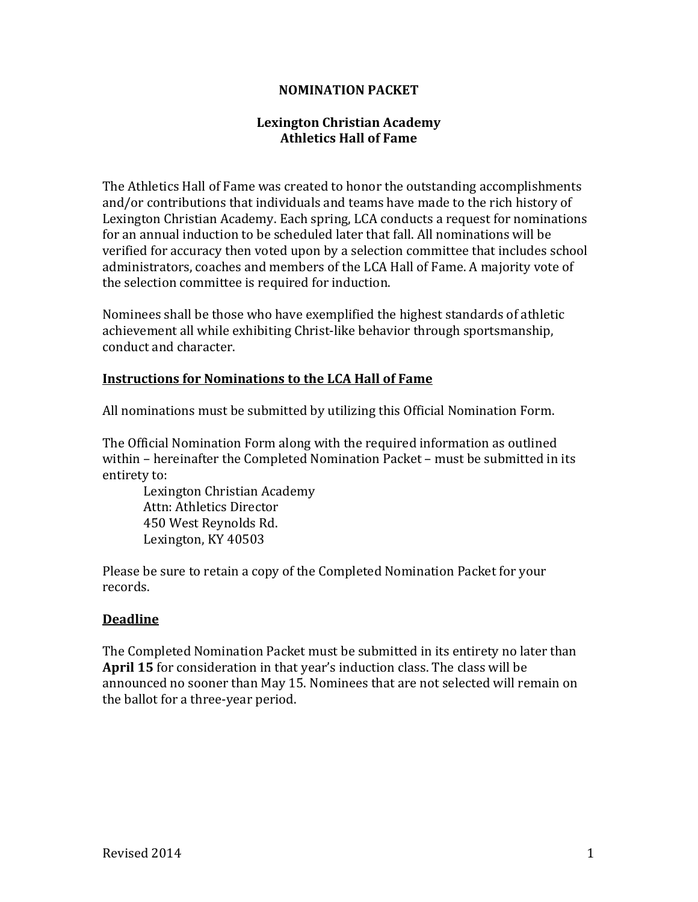#### **NOMINATION PACKET**

## **Lexington Christian Academy Athletics Hall of Fame**

The Athletics Hall of Fame was created to honor the outstanding accomplishments and/or contributions that individuals and teams have made to the rich history of Lexington Christian Academy. Each spring, LCA conducts a request for nominations for an annual induction to be scheduled later that fall. All nominations will be verified for accuracy then voted upon by a selection committee that includes school administrators, coaches and members of the LCA Hall of Fame. A majority vote of the selection committee is required for induction.

Nominees shall be those who have exemplified the highest standards of athletic achievement all while exhibiting Christ-like behavior through sportsmanship, conduct and character.

#### **Instructions for Nominations to the LCA Hall of Fame**

All nominations must be submitted by utilizing this Official Nomination Form.

The Official Nomination Form along with the required information as outlined within – hereinafter the Completed Nomination Packet – must be submitted in its entirety to:

Lexington Christian Academy Attn: Athletics Director 450 West Reynolds Rd. Lexington, KY 40503

Please be sure to retain a copy of the Completed Nomination Packet for your records.

## **Deadline**

The Completed Nomination Packet must be submitted in its entirety no later than **April 15** for consideration in that year's induction class. The class will be announced no sooner than May 15. Nominees that are not selected will remain on the ballot for a three-year period.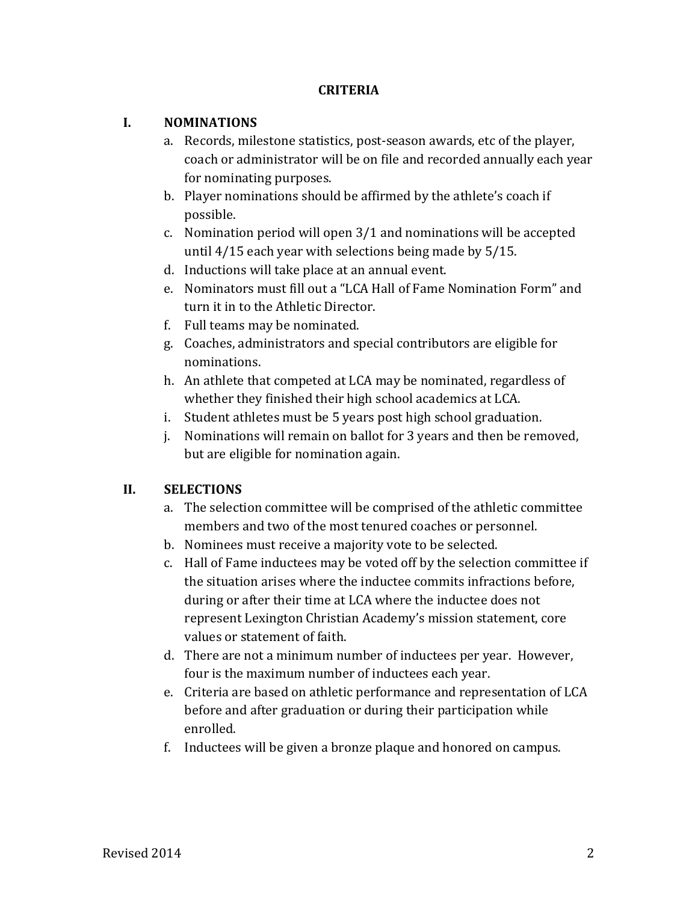## **CRITERIA**

## **I. NOMINATIONS**

- a. Records, milestone statistics, post-season awards, etc of the player, coach or administrator will be on file and recorded annually each year for nominating purposes.
- b. Player nominations should be affirmed by the athlete's coach if possible.
- c. Nomination period will open 3/1 and nominations will be accepted until 4/15 each year with selections being made by 5/15.
- d. Inductions will take place at an annual event.
- e. Nominators must fill out a "LCA Hall of Fame Nomination Form" and turn it in to the Athletic Director.
- f. Full teams may be nominated.
- g. Coaches, administrators and special contributors are eligible for nominations.
- h. An athlete that competed at LCA may be nominated, regardless of whether they finished their high school academics at LCA.
- i. Student athletes must be 5 years post high school graduation.
- j. Nominations will remain on ballot for 3 years and then be removed, but are eligible for nomination again.

## **II. SELECTIONS**

- a. The selection committee will be comprised of the athletic committee members and two of the most tenured coaches or personnel.
- b. Nominees must receive a majority vote to be selected.
- c. Hall of Fame inductees may be voted off by the selection committee if the situation arises where the inductee commits infractions before, during or after their time at LCA where the inductee does not represent Lexington Christian Academy's mission statement, core values or statement of faith.
- d. There are not a minimum number of inductees per year. However, four is the maximum number of inductees each year.
- e. Criteria are based on athletic performance and representation of LCA before and after graduation or during their participation while enrolled.
- f. Inductees will be given a bronze plaque and honored on campus.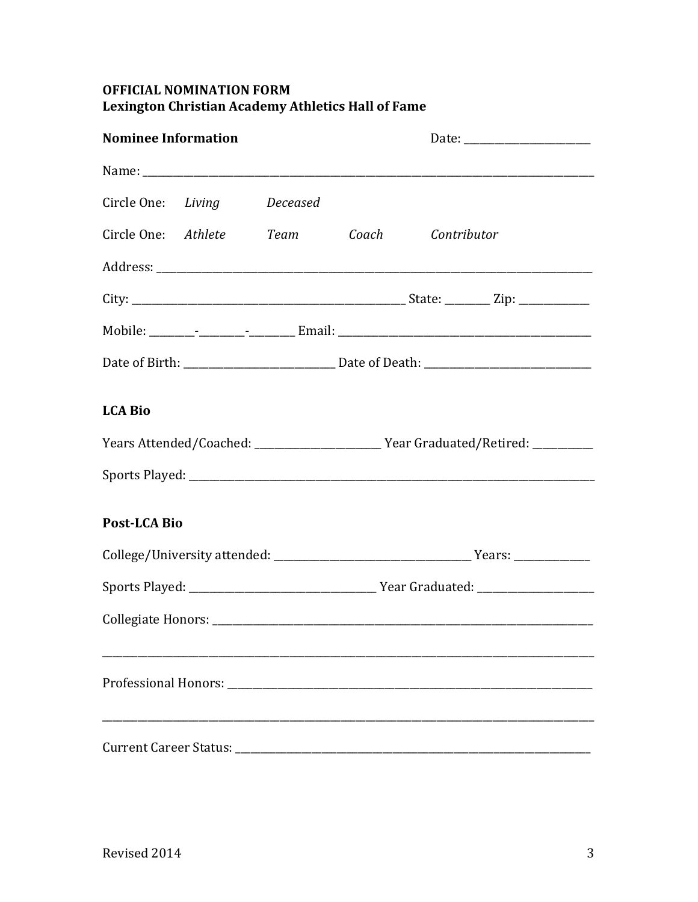## **OFFICIAL NOMINATION FORM** Lexington Christian Academy Athletics Hall of Fame

| <b>Nominee Information</b>    |  |                                |  |                                                                                  |  |  |
|-------------------------------|--|--------------------------------|--|----------------------------------------------------------------------------------|--|--|
|                               |  |                                |  |                                                                                  |  |  |
|                               |  | Circle One: Living Deceased    |  |                                                                                  |  |  |
|                               |  | Circle One: Athlete Team Coach |  | Contributor                                                                      |  |  |
|                               |  |                                |  |                                                                                  |  |  |
|                               |  |                                |  |                                                                                  |  |  |
|                               |  |                                |  |                                                                                  |  |  |
|                               |  |                                |  |                                                                                  |  |  |
| <b>LCA Bio</b>                |  |                                |  |                                                                                  |  |  |
|                               |  |                                |  | Years Attended/Coached: _______________________Year Graduated/Retired: _________ |  |  |
|                               |  |                                |  |                                                                                  |  |  |
| <b>Post-LCA Bio</b>           |  |                                |  |                                                                                  |  |  |
|                               |  |                                |  |                                                                                  |  |  |
|                               |  |                                |  |                                                                                  |  |  |
|                               |  |                                |  |                                                                                  |  |  |
|                               |  |                                |  |                                                                                  |  |  |
| <b>Current Career Status:</b> |  |                                |  |                                                                                  |  |  |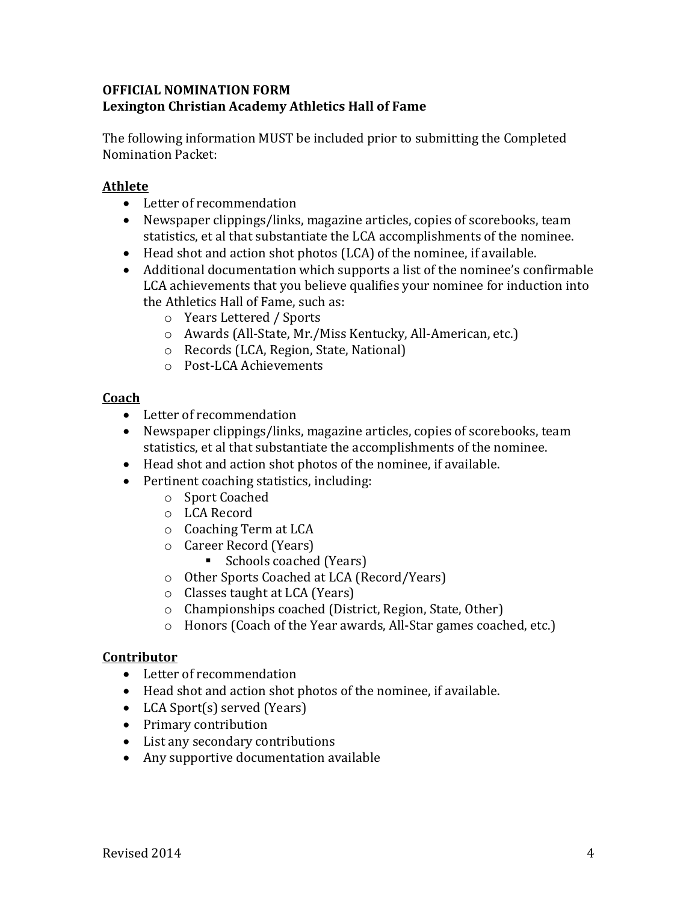## **OFFICIAL NOMINATION FORM Lexington Christian Academy Athletics Hall of Fame**

The following information MUST be included prior to submitting the Completed Nomination Packet:

## **Athlete**

- Letter of recommendation
- Newspaper clippings/links, magazine articles, copies of scorebooks, team statistics, et al that substantiate the LCA accomplishments of the nominee.
- Head shot and action shot photos (LCA) of the nominee, if available.
- Additional documentation which supports a list of the nominee's confirmable LCA achievements that you believe qualifies your nominee for induction into the Athletics Hall of Fame, such as:
	- o Years Lettered / Sports
	- o Awards (All-State, Mr./Miss Kentucky, All-American, etc.)
	- o Records (LCA, Region, State, National)
	- o Post-LCA Achievements

## **Coach**

- Letter of recommendation
- Newspaper clippings/links, magazine articles, copies of scorebooks, team statistics, et al that substantiate the accomplishments of the nominee.
- Head shot and action shot photos of the nominee, if available.
- Pertinent coaching statistics, including:
	- o Sport Coached
	- o LCA Record
	- o Coaching Term at LCA
	- o Career Record (Years)
		- Schools coached (Years)
	- o Other Sports Coached at LCA (Record/Years)
	- o Classes taught at LCA (Years)
	- o Championships coached (District, Region, State, Other)
	- o Honors (Coach of the Year awards, All-Star games coached, etc.)

## **Contributor**

- Letter of recommendation
- Head shot and action shot photos of the nominee, if available.
- LCA Sport(s) served (Years)
- Primary contribution
- List any secondary contributions
- Any supportive documentation available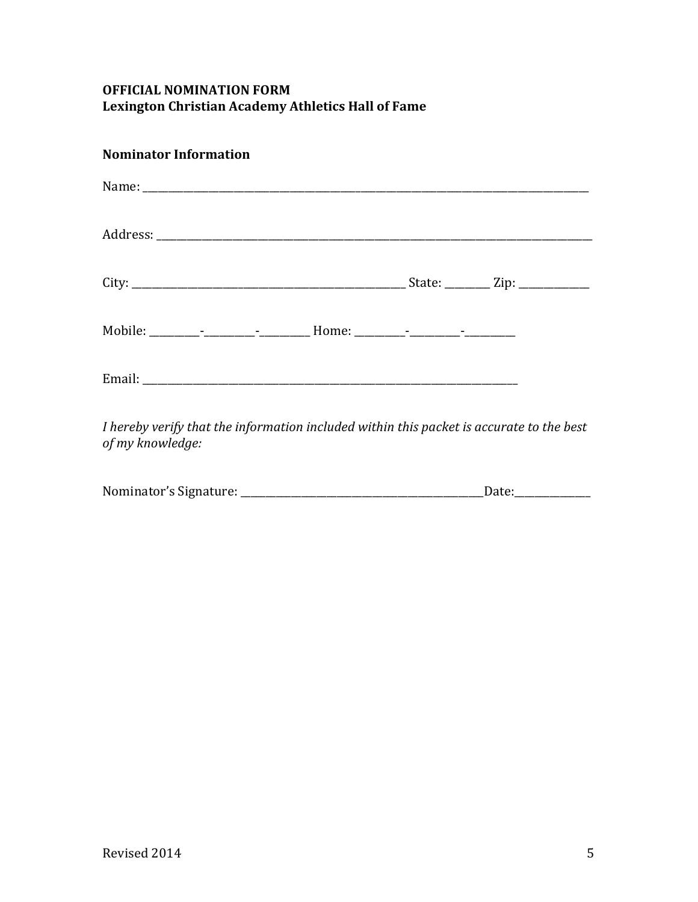# **OFFICIAL NOMINATION FORM Lexington Christian Academy Athletics Hall of Fame**

# **Nominator Information**

|  |  | I hereby verify that the information included within this nacket is accurate to the hest |
|--|--|------------------------------------------------------------------------------------------|

*I hereby verify that the information included within this packet is accurate to the best of my knowledge:* 

| Nominator's Signature: | Date: |
|------------------------|-------|
|------------------------|-------|